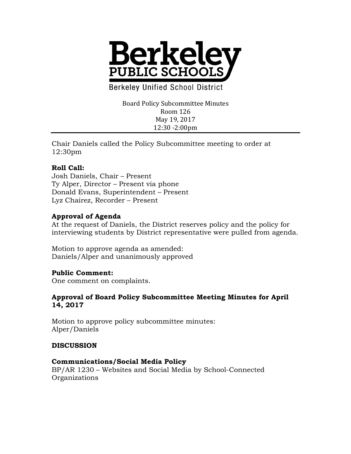

**Berkeley Unified School District** 

Board Policy Subcommittee Minutes Room 126 May 19, 2017 12:30 -2:00pm

Chair Daniels called the Policy Subcommittee meeting to order at 12:30pm

# **Roll Call:**

Josh Daniels, Chair – Present Ty Alper, Director – Present via phone Donald Evans, Superintendent – Present Lyz Chairez, Recorder – Present

# **Approval of Agenda**

At the request of Daniels, the District reserves policy and the policy for interviewing students by District representative were pulled from agenda.

Motion to approve agenda as amended: Daniels/Alper and unanimously approved

## **Public Comment:**

One comment on complaints.

## **Approval of Board Policy Subcommittee Meeting Minutes for April 14, 2017**

Motion to approve policy subcommittee minutes: Alper/Daniels

## **DISCUSSION**

#### **Communications/Social Media Policy**

BP/AR 1230 – Websites and Social Media by School-Connected Organizations